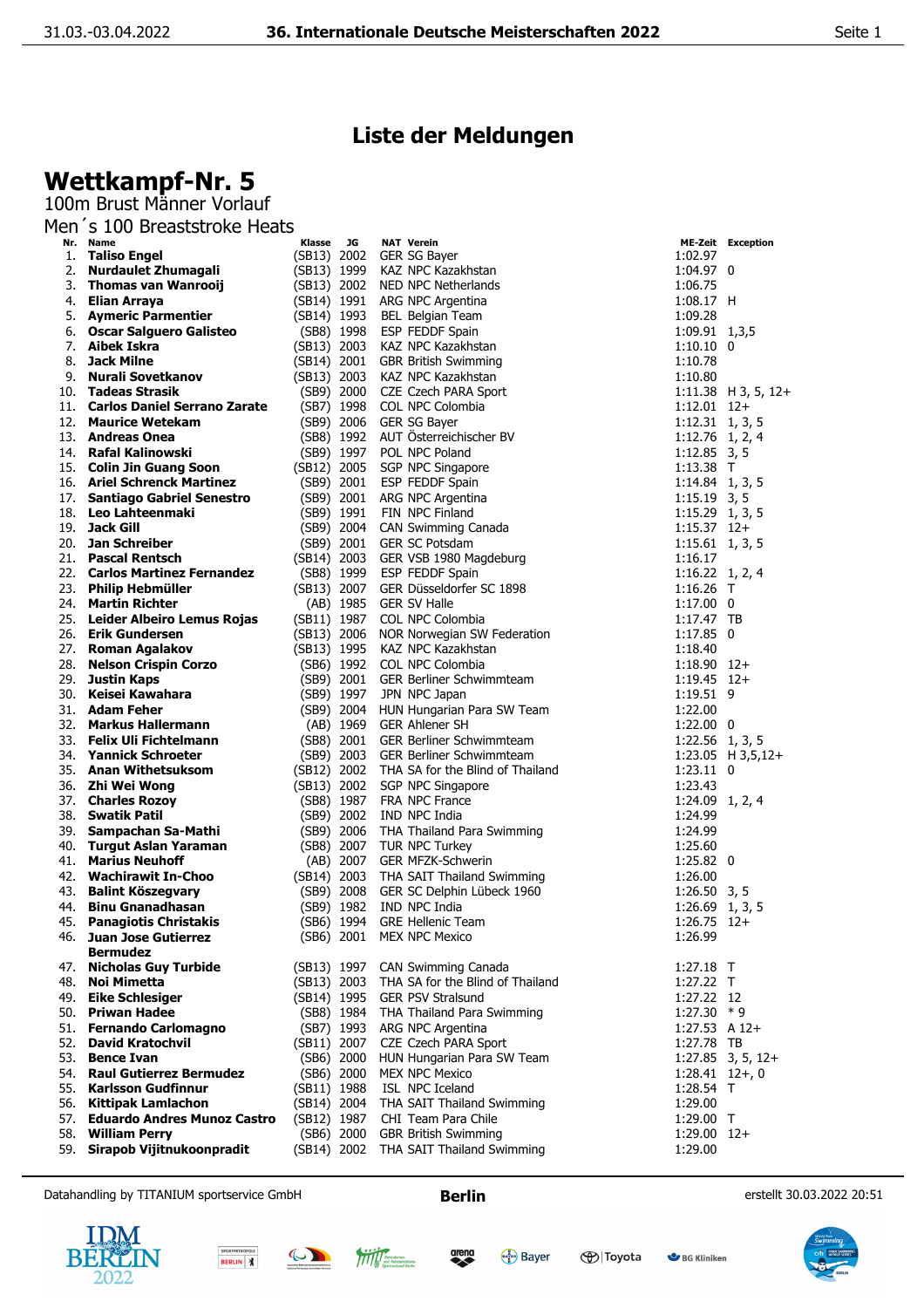## **We**

|            | Liste der Meldungen                                     |             |                          |                                                          |                                     |                                          |  |  |  |  |  |
|------------|---------------------------------------------------------|-------------|--------------------------|----------------------------------------------------------|-------------------------------------|------------------------------------------|--|--|--|--|--|
|            | Wettkampf-Nr. 5                                         |             |                          |                                                          |                                     |                                          |  |  |  |  |  |
|            | 100m Brust Männer Vorlauf                               |             |                          |                                                          |                                     |                                          |  |  |  |  |  |
|            | Men 's 100 Breaststroke Heats                           |             |                          |                                                          |                                     |                                          |  |  |  |  |  |
|            | Nr. Name                                                | Klasse      | JG                       | <b>NAT Verein</b>                                        |                                     | <b>ME-Zeit Exception</b>                 |  |  |  |  |  |
| 1.         | <b>Taliso Engel</b>                                     | (SB13) 2002 |                          | GER SG Bayer                                             | 1:02.97                             |                                          |  |  |  |  |  |
|            | 2. Nurdaulet Zhumagali                                  | (SB13) 1999 |                          | KAZ NPC Kazakhstan                                       | 1:04.97 0                           |                                          |  |  |  |  |  |
|            | 3. Thomas van Wanrooij                                  | (SB13) 2002 |                          | NED NPC Netherlands                                      | 1:06.75                             |                                          |  |  |  |  |  |
|            | 4. Elian Arraya<br>5. Aymeric Parmentier                | (SB14) 1993 |                          | (SB14) 1991 ARG NPC Argentina<br>BEL Belgian Team        | $1:08.17$ H<br>1:09.28              |                                          |  |  |  |  |  |
|            | 6. Oscar Salguero Galisteo                              |             | (SB8) 1998               | ESP FEDDF Spain                                          | 1:09.91 1,3,5                       |                                          |  |  |  |  |  |
|            | 7. Aibek Iskra                                          | (SB13) 2003 |                          | KAZ NPC Kazakhstan                                       | $1:10.10$ 0                         |                                          |  |  |  |  |  |
| 8.         | <b>Jack Milne</b>                                       | (SB14) 2001 |                          | <b>GBR British Swimming</b>                              | 1:10.78                             |                                          |  |  |  |  |  |
| 9.         | Nurali Sovetkanov                                       | (SB13) 2003 |                          | KAZ NPC Kazakhstan                                       | 1:10.80                             |                                          |  |  |  |  |  |
|            | 10. Tadeas Strasik                                      |             | (SB9) 2000               | CZE Czech PARA Sport                                     |                                     | $1:11.38$ H 3, 5, 12+                    |  |  |  |  |  |
|            | 11. Carlos Daniel Serrano Zarate                        |             | (SB7) 1998               | COL NPC Colombia                                         | $1:12.01$ $12+$                     |                                          |  |  |  |  |  |
|            | 12. Maurice Wetekam                                     |             | (SB9) 2006               | GER SG Bayer                                             | $1:12.31$ 1, 3, 5                   |                                          |  |  |  |  |  |
|            | 13. Andreas Onea                                        |             | (SB8) 1992               | AUT Österreichischer BV                                  | $1:12.76$ 1, 2, 4                   |                                          |  |  |  |  |  |
|            | 14. Rafal Kalinowski                                    |             | (SB9) 1997               | POL NPC Poland                                           | $1:12.85$ 3, 5                      |                                          |  |  |  |  |  |
|            | 15. Colin Jin Guang Soon<br>16. Ariel Schrenck Martinez | (SB12) 2005 |                          | SGP NPC Singapore                                        | 1:13.38 T                           |                                          |  |  |  |  |  |
|            | 17. Santiago Gabriel Senestro                           |             | (SB9) 2001               | <b>ESP FEDDF Spain</b><br>(SB9) 2001 ARG NPC Argentina   | $1:14.84$ 1, 3, 5<br>$1:15.19$ 3, 5 |                                          |  |  |  |  |  |
|            | 18. Leo Lahteenmaki                                     |             | (SB9) 1991               | FIN NPC Finland                                          | $1:15.29$ 1, 3, 5                   |                                          |  |  |  |  |  |
| 19.        | <b>Jack Gill</b>                                        |             | (SB9) 2004               | CAN Swimming Canada                                      | $1:15.37$ 12+                       |                                          |  |  |  |  |  |
|            | 20. Jan Schreiber                                       |             |                          | (SB9) 2001 GER SC Potsdam                                | $1:15.61$ 1, 3, 5                   |                                          |  |  |  |  |  |
|            | 21. Pascal Rentsch                                      | (SB14) 2003 |                          | GER VSB 1980 Magdeburg                                   | 1:16.17                             |                                          |  |  |  |  |  |
|            | 22. Carlos Martinez Fernandez                           |             | (SB8) 1999               | ESP FEDDF Spain                                          | $1:16.22 \quad 1, 2, 4$             |                                          |  |  |  |  |  |
|            | 23. Philip Hebmüller                                    |             |                          | (SB13) 2007 GER Düsseldorfer SC 1898                     | $1:16.26$ T                         |                                          |  |  |  |  |  |
|            | 24. Martin Richter                                      |             | (AB) 1985                | <b>GER SV Halle</b>                                      | $1:17.00$ 0                         |                                          |  |  |  |  |  |
|            | 25. Leider Albeiro Lemus Rojas                          | (SB11) 1987 |                          | COL NPC Colombia                                         | $1:17.47$ TB                        |                                          |  |  |  |  |  |
|            | 26. Erik Gundersen                                      | (SB13) 2006 |                          | NOR Norwegian SW Federation                              | $1:17.85$ 0                         |                                          |  |  |  |  |  |
|            | 27. Roman Agalakov                                      | (SB13) 1995 |                          | KAZ NPC Kazakhstan                                       | 1:18.40                             |                                          |  |  |  |  |  |
|            | 28. Nelson Crispin Corzo                                |             |                          | (SB6) 1992 COL NPC Colombia                              | $1:18.90$ 12+                       |                                          |  |  |  |  |  |
| 30.        | 29. Justin Kaps<br>Keisei Kawahara                      |             |                          | (SB9) 2001 GER Berliner Schwimmteam<br>JPN NPC Japan     | $1:19.45$ 12+<br>1:19.51 9          |                                          |  |  |  |  |  |
|            | 31. <b>Adam Feher</b>                                   |             | (SB9) 1997<br>(SB9) 2004 | HUN Hungarian Para SW Team                               | 1:22.00                             |                                          |  |  |  |  |  |
| 32.        | <b>Markus Hallermann</b>                                |             | (AB) 1969                | <b>GER Ahlener SH</b>                                    | $1:22.00$ 0                         |                                          |  |  |  |  |  |
|            | 33. Felix Uli Fichtelmann                               |             |                          | (SB8) 2001 GER Berliner Schwimmteam                      | $1:22.56$ 1, 3, 5                   |                                          |  |  |  |  |  |
|            | 34. Yannick Schroeter                                   |             | (SB9) 2003               | <b>GER Berliner Schwimmteam</b>                          |                                     | $1:23.05$ H $3,5,12+$                    |  |  |  |  |  |
|            | 35. Anan Withetsuksom                                   | (SB12) 2002 |                          | THA SA for the Blind of Thailand                         | $1:23.11$ 0                         |                                          |  |  |  |  |  |
| 36.        | Zhi Wei Wong                                            | (SB13) 2002 |                          | SGP NPC Singapore                                        | 1:23.43                             |                                          |  |  |  |  |  |
| 37.        | <b>Charles Rozoy</b>                                    |             | (SB8) 1987               | FRA NPC France                                           | 1:24.09 1, 2, 4                     |                                          |  |  |  |  |  |
| 38.        | <b>Swatik Patil</b>                                     | (SB9) 2002  |                          | IND NPC India                                            | 1:24.99                             |                                          |  |  |  |  |  |
|            | 39. Sampachan Sa-Mathi                                  |             | (SB9) 2006               | THA Thailand Para Swimming                               | 1:24.99                             |                                          |  |  |  |  |  |
| 40.        | <b>Turgut Aslan Yaraman</b><br><b>Marius Neuhoff</b>    |             | (SB8) 2007               | TUR NPC Turkey                                           | 1:25.60                             |                                          |  |  |  |  |  |
| 41.        | 42. Wachirawit In-Choo                                  |             | (AB) 2007                | <b>GER MFZK-Schwerin</b>                                 | $1:25.82$ 0                         |                                          |  |  |  |  |  |
| 43.        | <b>Balint Köszegvary</b>                                | (SB14) 2003 | (SB9) 2008               | THA SAIT Thailand Swimming<br>GER SC Delphin Lübeck 1960 | 1:26.00<br>$1:26.50$ 3, 5           |                                          |  |  |  |  |  |
| 44.        | <b>Binu Gnanadhasan</b>                                 |             | (SB9) 1982               | IND NPC India                                            |                                     | $1:26.69$ 1, 3, 5                        |  |  |  |  |  |
| 45.        | <b>Panagiotis Christakis</b>                            |             | (SB6) 1994               | <b>GRE Hellenic Team</b>                                 | $1:26.75$ 12+                       |                                          |  |  |  |  |  |
| 46.        | <b>Juan Jose Gutierrez</b>                              |             | (SB6) 2001               | <b>MEX NPC Mexico</b>                                    | 1:26.99                             |                                          |  |  |  |  |  |
|            | <b>Bermudez</b>                                         |             |                          |                                                          |                                     |                                          |  |  |  |  |  |
| 47.        | <b>Nicholas Guy Turbide</b>                             | (SB13) 1997 |                          | CAN Swimming Canada                                      | $1:27.18$ T                         |                                          |  |  |  |  |  |
| 48.        | Noi Mimetta                                             | (SB13) 2003 |                          | THA SA for the Blind of Thailand                         | 1:27.22 T                           |                                          |  |  |  |  |  |
| 49.        | Eike Schlesiger                                         | (SB14) 1995 |                          | <b>GER PSV Stralsund</b>                                 | 1:27.22 12                          |                                          |  |  |  |  |  |
| 50.        | <b>Priwan Hadee</b>                                     |             | (SB8) 1984               | THA Thailand Para Swimming                               | $1:27.30 * 9$                       |                                          |  |  |  |  |  |
| 51.        | <b>Fernando Carlomagno</b>                              |             | (SB7) 1993               | ARG NPC Argentina                                        | $1:27.53$ A $12+$                   |                                          |  |  |  |  |  |
|            | 52. David Kratochvil                                    | (SB11) 2007 |                          | CZE Czech PARA Sport                                     | 1:27.78 TB                          |                                          |  |  |  |  |  |
| 53.<br>54. | <b>Bence Ivan</b><br><b>Raul Gutierrez Bermudez</b>     |             | (SB6) 2000               | HUN Hungarian Para SW Team                               |                                     | $1:27.85$ 3, 5, 12+<br>$1:28.41$ $12+,0$ |  |  |  |  |  |
|            |                                                         |             | (SB6) 2000               | <b>MEX NPC Mexico</b>                                    |                                     |                                          |  |  |  |  |  |

- 55. **Karlsson Gudfinnur** (SB11) 1988 ISL NPC Iceland<br>56. **Kittipak Lamlachon** (SB14) 2004 THA SAIT Thailand Swimming (1:29.00 56. **Kittipak Lamlachon** (SB14) 2004 THA SAIT Thailand Swimming 1:29.00 1<br>57. **Eduardo Andres Munoz Castro** (SB12) 1987 CHI Team Para Chile (1:29.00 T 57. **Eduardo Andres Munoz Castro** (SB12) 1987 CHI Team Para Chile 1:29.00 T<br>11.29.00 T (SB6) 2000 GBR British Swimming 1:29.00 12+
- 
- 58. **William Perry 1:29.00**<br>59. **Sirapob Vijitnukoonpradit** (SB14) 2002 THA SAIT Thailand Swimming 1:29.00 1:29.00

Datahandling by TITANIUM sportservice GmbH **Berlin Berlin Berlin** erstellt 30.03.2022 20:51









(SB14) 2002 THA SAIT Thailand Swimming